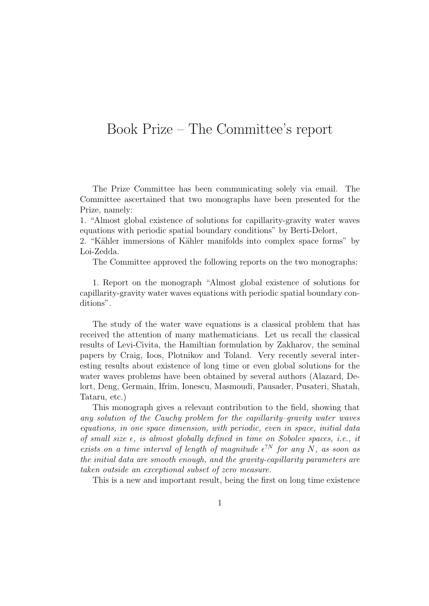## Book Prize – The Committee's report

The Prize Committee has been communicating solely via email. The Committee ascertained that two monographs have been presented for the Prize, namely:

1. "Almost global existence of solutions for capillarity-gravity water waves equations with periodic spatial boundary conditions" by Berti-Delort,

2. "Kähler immersions of Kähler manifolds into complex space forms" by Loi-Zedda.

The Committee approved the following reports on the two monographs:

1. Report on the monograph "Almost global existence of solutions for capillarity-gravity water waves equations with periodic spatial boundary conditions".

The study of the water wave equations is a classical problem that has received the attention of many mathematicians. Let us recall the classical results of Levi-Civita, the Hamiltian formulation by Zakharov, the seminal papers by Craig, Ioos, Plotnikov and Toland. Very recently several interesting results about existence of long time or even global solutions for the water waves problems have been obtained by several authors (Alazard, Delort, Deng, Germain, Ifrim, Ionescu, Masmoudi, Pausader, Pusateri, Shatah, Tataru, etc.)

This monograph gives a relevant contribution to the field, showing that any solution of the Cauchy problem for the capillarity–gravity water waves equations, in one space dimension, with periodic, even in space, initial data of small size  $\epsilon$ , is almost globally defined in time on Sobolev spaces, i.e., it exists on a time interval of length of magnitude  $\epsilon^{?N}$  for any N, as soon as the initial data are smooth enough, and the gravity-capillarity parameters are taken outside an exceptional subset of zero measure.

This is a new and important result, being the first on long time existence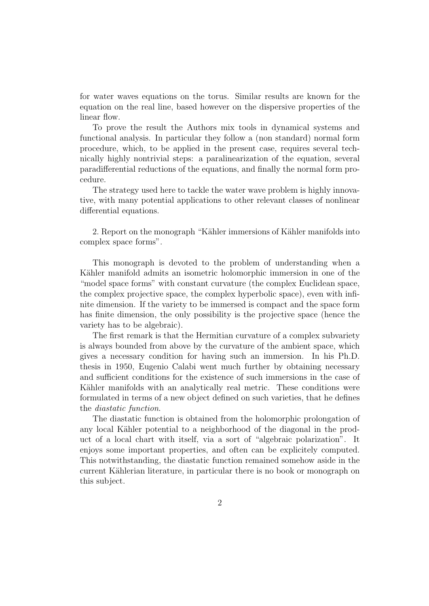for water waves equations on the torus. Similar results are known for the equation on the real line, based however on the dispersive properties of the linear flow.

To prove the result the Authors mix tools in dynamical systems and functional analysis. In particular they follow a (non standard) normal form procedure, which, to be applied in the present case, requires several technically highly nontrivial steps: a paralinearization of the equation, several paradifferential reductions of the equations, and finally the normal form procedure.

The strategy used here to tackle the water wave problem is highly innovative, with many potential applications to other relevant classes of nonlinear differential equations.

2. Report on the monograph "Kähler immersions of Kähler manifolds into complex space forms".

This monograph is devoted to the problem of understanding when a Kähler manifold admits an isometric holomorphic immersion in one of the "model space forms" with constant curvature (the complex Euclidean space, the complex projective space, the complex hyperbolic space), even with infinite dimension. If the variety to be immersed is compact and the space form has finite dimension, the only possibility is the projective space (hence the variety has to be algebraic).

The first remark is that the Hermitian curvature of a complex subvariety is always bounded from above by the curvature of the ambient space, which gives a necessary condition for having such an immersion. In his Ph.D. thesis in 1950, Eugenio Calabi went much further by obtaining necessary and sufficient conditions for the existence of such immersions in the case of Kähler manifolds with an analytically real metric. These conditions were formulated in terms of a new object defined on such varieties, that he defines the diastatic function.

The diastatic function is obtained from the holomorphic prolongation of any local Kähler potential to a neighborhood of the diagonal in the product of a local chart with itself, via a sort of "algebraic polarization". It enjoys some important properties, and often can be explicitely computed. This notwithstanding, the diastatic function remained somehow aside in the current Kählerian literature, in particular there is no book or monograph on this subject.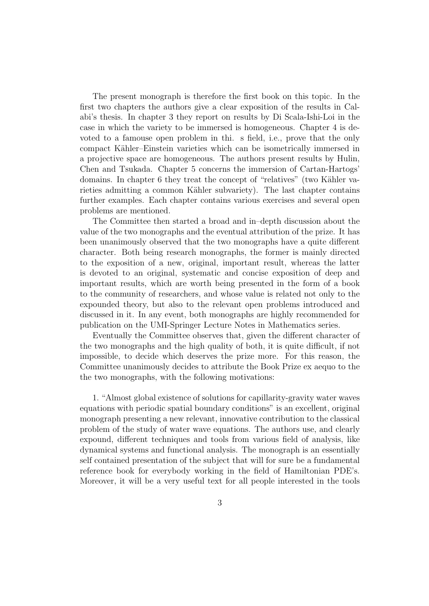The present monograph is therefore the first book on this topic. In the first two chapters the authors give a clear exposition of the results in Calabi's thesis. In chapter 3 they report on results by Di Scala-Ishi-Loi in the case in which the variety to be immersed is homogeneous. Chapter 4 is devoted to a famouse open problem in thi. s field, i.e., prove that the only compact Kähler–Einstein varieties which can be isometrically immersed in a projective space are homogeneous. The authors present results by Hulin, Chen and Tsukada. Chapter 5 concerns the immersion of Cartan-Hartogs' domains. In chapter 6 they treat the concept of "relatives" (two Kähler varieties admitting a common Kähler subvariety). The last chapter contains further examples. Each chapter contains various exercises and several open problems are mentioned.

The Committee then started a broad and in–depth discussion about the value of the two monographs and the eventual attribution of the prize. It has been unanimously observed that the two monographs have a quite different character. Both being research monographs, the former is mainly directed to the exposition of a new, original, important result, whereas the latter is devoted to an original, systematic and concise exposition of deep and important results, which are worth being presented in the form of a book to the community of researchers, and whose value is related not only to the expounded theory, but also to the relevant open problems introduced and discussed in it. In any event, both monographs are highly recommended for publication on the UMI-Springer Lecture Notes in Mathematics series.

Eventually the Committee observes that, given the different character of the two monographs and the high quality of both, it is quite difficult, if not impossible, to decide which deserves the prize more. For this reason, the Committee unanimously decides to attribute the Book Prize ex aequo to the the two monographs, with the following motivations:

1. "Almost global existence of solutions for capillarity-gravity water waves equations with periodic spatial boundary conditions" is an excellent, original monograph presenting a new relevant, innovative contribution to the classical problem of the study of water wave equations. The authors use, and clearly expound, different techniques and tools from various field of analysis, like dynamical systems and functional analysis. The monograph is an essentially self contained presentation of the subject that will for sure be a fundamental reference book for everybody working in the field of Hamiltonian PDE's. Moreover, it will be a very useful text for all people interested in the tools